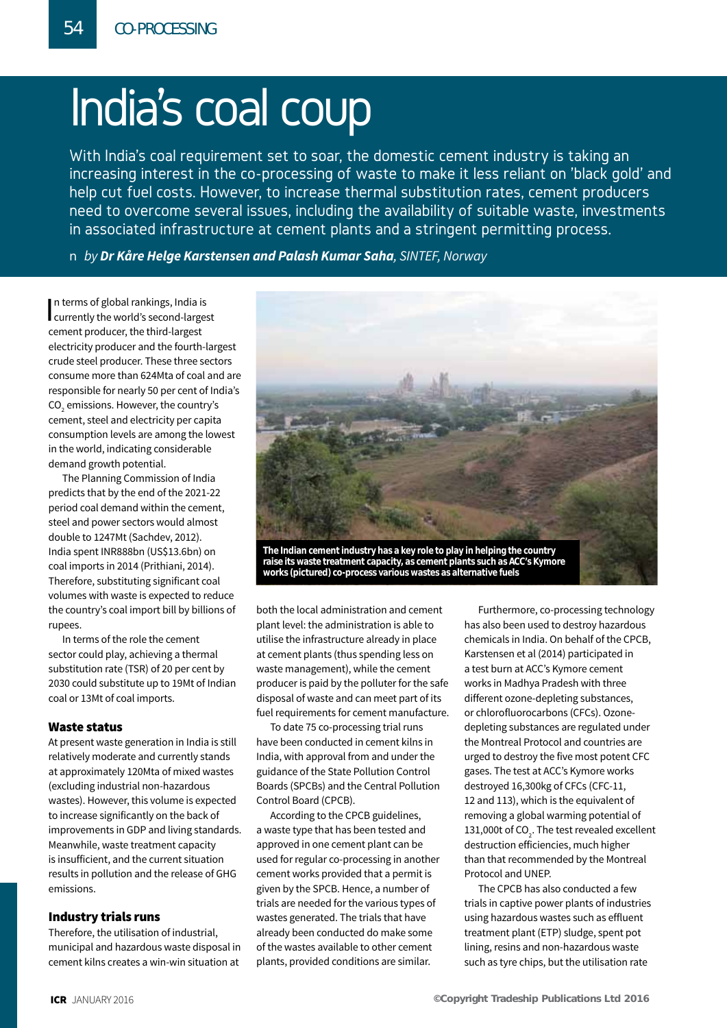# India's coal coup

With India's coal requirement set to soar, the domestic cement industry is taking an increasing interest in the co-processing of waste to make it less reliant on 'black gold' and help cut fuel costs. However, to increase thermal substitution rates, cement producers need to overcome several issues, including the availability of suitable waste, investments in associated infrastructure at cement plants and a stringent permitting process.

n *Authors to run along here name in bold* n *by Dr Kåre Helge Karstensen and Palash Kumar Saha, SINTEF, Norway*

In terms of global rankings, India is<br>currently the world's second-largest n terms of global rankings, India is cement producer, the third-largest electricity producer and the fourth-largest crude steel producer. These three sectors consume more than 624Mta of coal and are responsible for nearly 50 per cent of India's CO $_2$  emissions. However, the country's cement, steel and electricity per capita consumption levels are among the lowest in the world, indicating considerable demand growth potential.

The Planning Commission of India predicts that by the end of the 2021-22 period coal demand within the cement, steel and power sectors would almost double to 1247Mt (Sachdev, 2012). India spent INR888bn (US\$13.6bn) on coal imports in 2014 (Prithiani, 2014). Therefore, substituting significant coal volumes with waste is expected to reduce the country's coal import bill by billions of rupees.

In terms of the role the cement sector could play, achieving a thermal substitution rate (TSR) of 20 per cent by 2030 could substitute up to 19Mt of Indian coal or 13Mt of coal imports.

#### Waste status

At present waste generation in India is still relatively moderate and currently stands at approximately 120Mta of mixed wastes (excluding industrial non-hazardous wastes). However, this volume is expected to increase significantly on the back of improvements in GDP and living standards. Meanwhile, waste treatment capacity is insufficient, and the current situation results in pollution and the release of GHG emissions.

#### Industry trials runs

Therefore, the utilisation of industrial, municipal and hazardous waste disposal in cement kilns creates a win-win situation at



**raise its waste treatment capacity, as cement plants such as ACC's Kymore works (pictured) co-process various wastes as alternative fuels**

both the local administration and cement plant level: the administration is able to utilise the infrastructure already in place at cement plants (thus spending less on waste management), while the cement producer is paid by the polluter for the safe disposal of waste and can meet part of its fuel requirements for cement manufacture.

To date 75 co-processing trial runs have been conducted in cement kilns in India, with approval from and under the guidance of the State Pollution Control Boards (SPCBs) and the Central Pollution Control Board (CPCB).

According to the CPCB guidelines, a waste type that has been tested and approved in one cement plant can be used for regular co-processing in another cement works provided that a permit is given by the SPCB. Hence, a number of trials are needed for the various types of wastes generated. The trials that have already been conducted do make some of the wastes available to other cement plants, provided conditions are similar.

Furthermore, co-processing technology has also been used to destroy hazardous chemicals in India. On behalf of the CPCB, Karstensen et al (2014) participated in a test burn at ACC's Kymore cement works in Madhya Pradesh with three different ozone-depleting substances, or chlorofluorocarbons (CFCs). Ozonedepleting substances are regulated under the Montreal Protocol and countries are urged to destroy the five most potent CFC gases. The test at ACC's Kymore works destroyed 16,300kg of CFCs (CFC-11, 12 and 113), which is the equivalent of removing a global warming potential of 131,000t of CO<sub>2</sub>. The test revealed excellent destruction efficiencies, much higher than that recommended by the Montreal Protocol and UNEP.

The CPCB has also conducted a few trials in captive power plants of industries using hazardous wastes such as effluent treatment plant (ETP) sludge, spent pot lining, resins and non-hazardous waste such as tyre chips, but the utilisation rate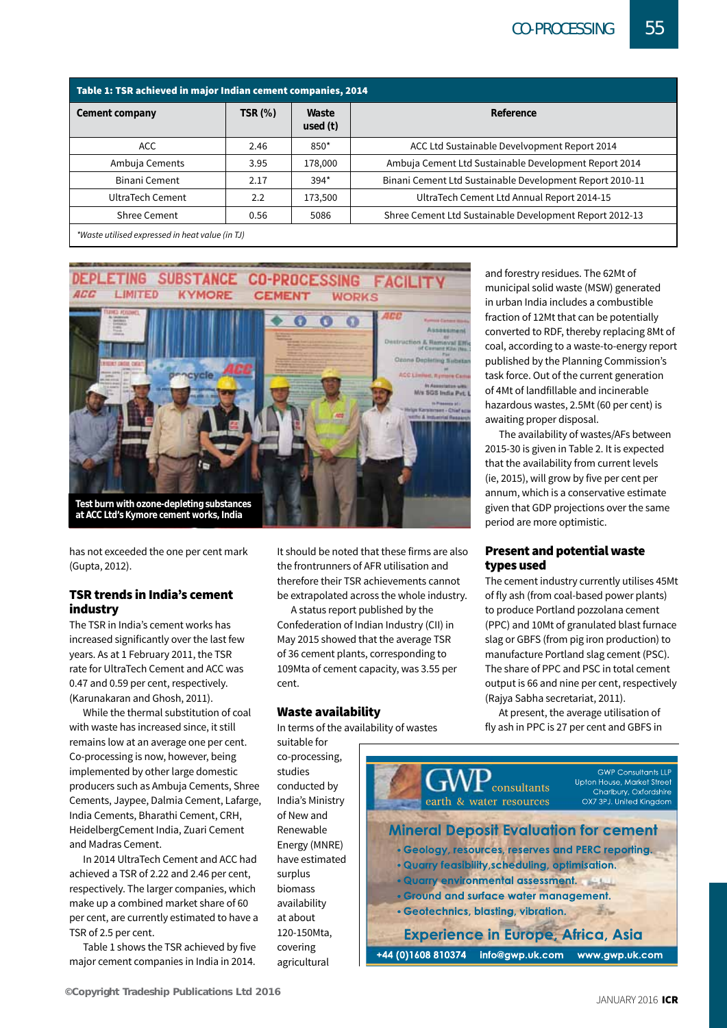| Table 1: TSR achieved in major Indian cement companies, 2014 |                |                     |                                                          |  |  |  |  |
|--------------------------------------------------------------|----------------|---------------------|----------------------------------------------------------|--|--|--|--|
| Cement company                                               | <b>TSR (%)</b> | Waste<br>used $(t)$ | Reference                                                |  |  |  |  |
| <b>ACC</b>                                                   | 2.46           | $850*$              | ACC Ltd Sustainable Develvopment Report 2014             |  |  |  |  |
| Ambuja Cements                                               | 3.95           | 178,000             | Ambuja Cement Ltd Sustainable Development Report 2014    |  |  |  |  |
| Binani Cement                                                | 2.17           | $394*$              | Binani Cement Ltd Sustainable Development Report 2010-11 |  |  |  |  |
| UltraTech Cement                                             | 2.2            | 173,500             | UltraTech Cement Ltd Annual Report 2014-15               |  |  |  |  |
| <b>Shree Cement</b>                                          | 0.56           | 5086                | Shree Cement Ltd Sustainable Development Report 2012-13  |  |  |  |  |
|                                                              |                |                     |                                                          |  |  |  |  |

*\*Waste utilised expressed in heat value (in TJ)*



has not exceeded the one per cent mark (Gupta, 2012).

#### TSR trends in India's cement industry

The TSR in India's cement works has increased significantly over the last few years. As at 1 February 2011, the TSR rate for UltraTech Cement and ACC was 0.47 and 0.59 per cent, respectively. (Karunakaran and Ghosh, 2011).

While the thermal substitution of coal with waste has increased since, it still remains low at an average one per cent. Co-processing is now, however, being implemented by other large domestic producers such as Ambuja Cements, Shree Cements, Jaypee, Dalmia Cement, Lafarge, India Cements, Bharathi Cement, CRH, HeidelbergCement India, Zuari Cement and Madras Cement.

In 2014 UltraTech Cement and ACC had achieved a TSR of 2.22 and 2.46 per cent, respectively. The larger companies, which make up a combined market share of 60 per cent, are currently estimated to have a TSR of 2.5 per cent.

Table 1 shows the TSR achieved by five major cement companies in India in 2014.

It should be noted that these firms are also the frontrunners of AFR utilisation and therefore their TSR achievements cannot be extrapolated across the whole industry.

A status report published by the Confederation of Indian Industry (CII) in May 2015 showed that the average TSR of 36 cement plants, corresponding to 109Mta of cement capacity, was 3.55 per cent.

#### Waste availability

In terms of the availability of wastes

suitable for co-processing, studies conducted by India's Ministry of New and Renewable Energy (MNRE) have estimated surplus biomass availability at about 120-150Mta, covering agricultural

and forestry residues. The 62Mt of municipal solid waste (MSW) generated in urban India includes a combustible fraction of 12Mt that can be potentially converted to RDF, thereby replacing 8Mt of coal, according to a waste-to-energy report published by the Planning Commission's task force. Out of the current generation of 4Mt of landfillable and incinerable hazardous wastes, 2.5Mt (60 per cent) is awaiting proper disposal.

The availability of wastes/AFs between 2015-30 is given in Table 2. It is expected that the availability from current levels (ie, 2015), will grow by five per cent per annum, which is a conservative estimate given that GDP projections over the same period are more optimistic.

#### Present and potential waste types used

The cement industry currently utilises 45Mt of fly ash (from coal-based power plants) to produce Portland pozzolana cement (PPC) and 10Mt of granulated blast furnace slag or GBFS (from pig iron production) to manufacture Portland slag cement (PSC). The share of PPC and PSC in total cement output is 66 and nine per cent, respectively (Rajya Sabha secretariat, 2011).

At present, the average utilisation of fly ash in PPC is 27 per cent and GBFS in

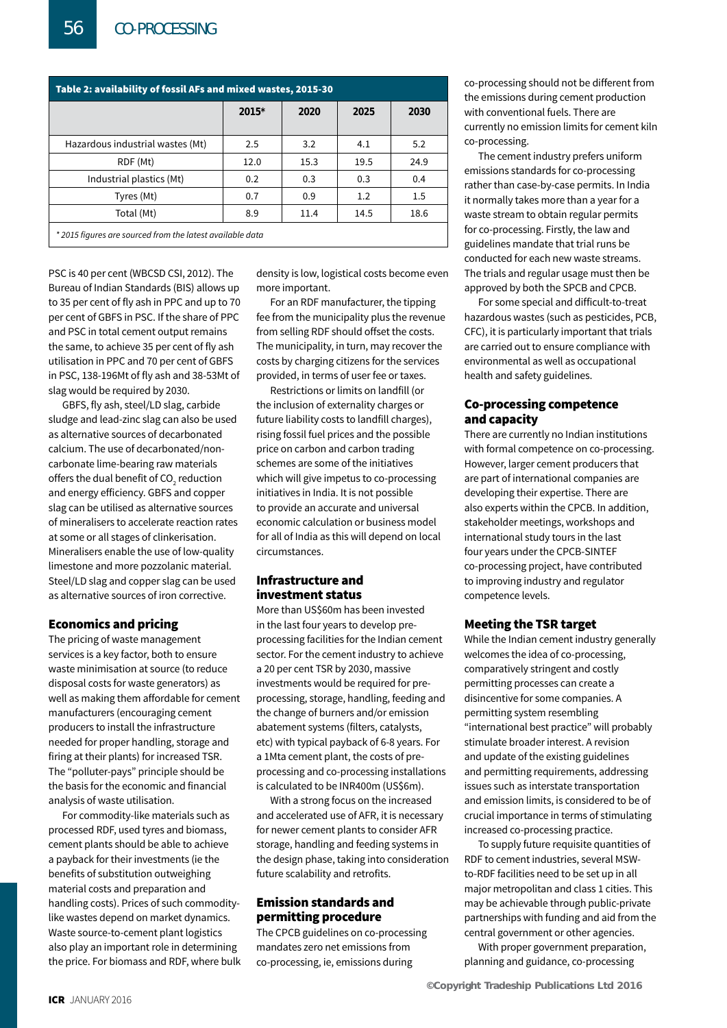| Table 2: availability of fossil AFs and mixed wastes, 2015-30 |       |      |      |      |  |  |  |
|---------------------------------------------------------------|-------|------|------|------|--|--|--|
|                                                               | 2015* | 2020 | 2025 | 2030 |  |  |  |
|                                                               |       |      |      |      |  |  |  |
| Hazardous industrial wastes (Mt)                              | 2.5   | 3.2  | 4.1  | 5.2  |  |  |  |
| RDF (Mt)                                                      | 12.0  | 15.3 | 19.5 | 24.9 |  |  |  |
| Industrial plastics (Mt)                                      | 0.2   | 0.3  | 0.3  | 0.4  |  |  |  |
| Tyres (Mt)                                                    | 0.7   | 0.9  | 1.2  | 1.5  |  |  |  |
| Total (Mt)                                                    | 8.9   | 11.4 | 14.5 | 18.6 |  |  |  |
| * 2015 figures are sourced from the latest available data     |       |      |      |      |  |  |  |

PSC is 40 per cent (WBCSD CSI, 2012). The Bureau of Indian Standards (BIS) allows up to 35 per cent of fly ash in PPC and up to 70 per cent of GBFS in PSC. If the share of PPC and PSC in total cement output remains the same, to achieve 35 per cent of fly ash utilisation in PPC and 70 per cent of GBFS in PSC, 138-196Mt of fly ash and 38-53Mt of slag would be required by 2030.

GBFS, fly ash, steel/LD slag, carbide sludge and lead-zinc slag can also be used as alternative sources of decarbonated calcium. The use of decarbonated/noncarbonate lime-bearing raw materials offers the dual benefit of CO $_{\textrm{\tiny{2}}}$  reduction and energy efficiency. GBFS and copper slag can be utilised as alternative sources of mineralisers to accelerate reaction rates at some or all stages of clinkerisation. Mineralisers enable the use of low-quality limestone and more pozzolanic material. Steel/LD slag and copper slag can be used as alternative sources of iron corrective.

#### Economics and pricing

The pricing of waste management services is a key factor, both to ensure waste minimisation at source (to reduce disposal costs for waste generators) as well as making them affordable for cement manufacturers (encouraging cement producers to install the infrastructure needed for proper handling, storage and firing at their plants) for increased TSR. The "polluter-pays" principle should be the basis for the economic and financial analysis of waste utilisation.

For commodity-like materials such as processed RDF, used tyres and biomass, cement plants should be able to achieve a payback for their investments (ie the benefits of substitution outweighing material costs and preparation and handling costs). Prices of such commoditylike wastes depend on market dynamics. Waste source-to-cement plant logistics also play an important role in determining the price. For biomass and RDF, where bulk density is low, logistical costs become even more important.

For an RDF manufacturer, the tipping fee from the municipality plus the revenue from selling RDF should offset the costs. The municipality, in turn, may recover the costs by charging citizens for the services provided, in terms of user fee or taxes.

Restrictions or limits on landfill (or the inclusion of externality charges or future liability costs to landfill charges), rising fossil fuel prices and the possible price on carbon and carbon trading schemes are some of the initiatives which will give impetus to co-processing initiatives in India. It is not possible to provide an accurate and universal economic calculation or business model for all of India as this will depend on local circumstances.

#### Infrastructure and investment status

More than US\$60m has been invested in the last four years to develop preprocessing facilities for the Indian cement sector. For the cement industry to achieve a 20 per cent TSR by 2030, massive investments would be required for preprocessing, storage, handling, feeding and the change of burners and/or emission abatement systems (filters, catalysts, etc) with typical payback of 6-8 years. For a 1Mta cement plant, the costs of preprocessing and co-processing installations is calculated to be INR400m (US\$6m).

With a strong focus on the increased and accelerated use of AFR, it is necessary for newer cement plants to consider AFR storage, handling and feeding systems in the design phase, taking into consideration future scalability and retrofits.

#### Emission standards and permitting procedure

The CPCB guidelines on co-processing mandates zero net emissions from co-processing, ie, emissions during

co-processing should not be different from the emissions during cement production with conventional fuels. There are currently no emission limits for cement kiln co-processing.

The cement industry prefers uniform emissions standards for co-processing rather than case-by-case permits. In India it normally takes more than a year for a waste stream to obtain regular permits for co-processing. Firstly, the law and guidelines mandate that trial runs be conducted for each new waste streams. The trials and regular usage must then be approved by both the SPCB and CPCB.

For some special and difficult-to-treat hazardous wastes (such as pesticides, PCB, CFC), it is particularly important that trials are carried out to ensure compliance with environmental as well as occupational health and safety guidelines.

#### Co-processing competence and capacity

There are currently no Indian institutions with formal competence on co-processing. However, larger cement producers that are part of international companies are developing their expertise. There are also experts within the CPCB. In addition, stakeholder meetings, workshops and international study tours in the last four years under the CPCB-SINTEF co-processing project, have contributed to improving industry and regulator competence levels.

#### Meeting the TSR target

While the Indian cement industry generally welcomes the idea of co-processing, comparatively stringent and costly permitting processes can create a disincentive for some companies. A permitting system resembling "international best practice" will probably stimulate broader interest. A revision and update of the existing guidelines and permitting requirements, addressing issues such as interstate transportation and emission limits, is considered to be of crucial importance in terms of stimulating increased co-processing practice.

To supply future requisite quantities of RDF to cement industries, several MSWto-RDF facilities need to be set up in all major metropolitan and class 1 cities. This may be achievable through public-private partnerships with funding and aid from the central government or other agencies.

With proper government preparation, planning and guidance, co-processing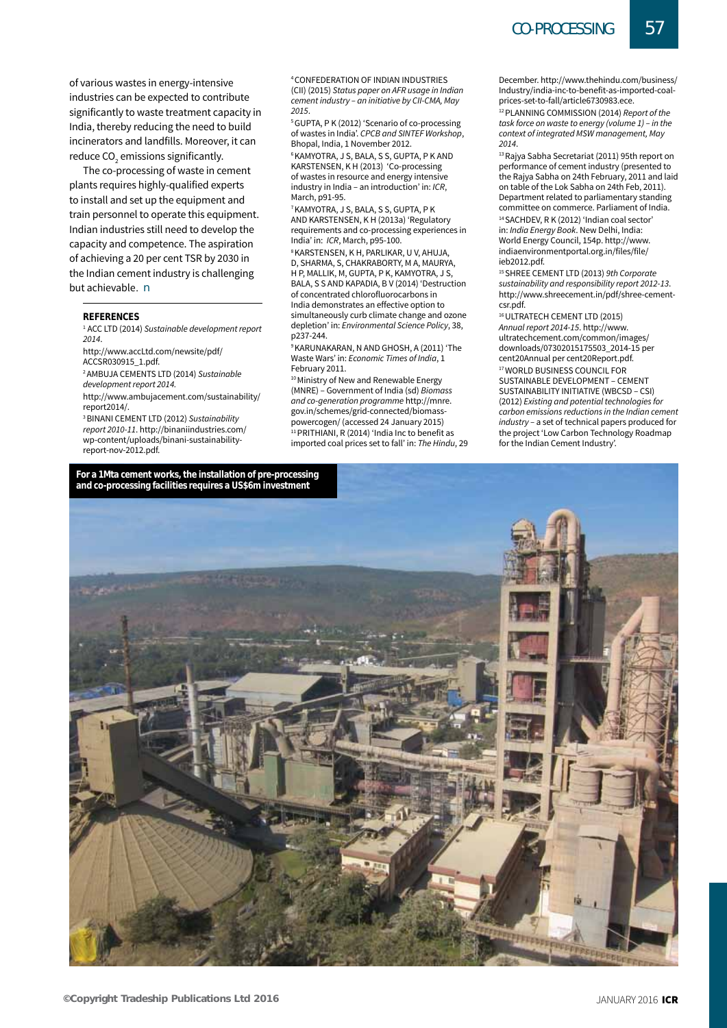of various wastes in energy-intensive industries can be expected to contribute significantly to waste treatment capacity in India, thereby reducing the need to build incinerators and landfills. Moreover, it can reduce CO $_{\tiny 2}$  emissions significantly.

The co-processing of waste in cement plants requires highly-qualified experts to install and set up the equipment and train personnel to operate this equipment. Indian industries still need to develop the capacity and competence. The aspiration of achieving a 20 per cent TSR by 2030 in the Indian cement industry is challenging but achievable. n

#### **References**

<sup>1</sup> ACC LTD (2014) *Sustainable development report 2014*.

http://www.accLtd.com/newsite/pdf/ ACCSR030915\_1.pdf.

2 Ambuja Cements Ltd (2014) *Sustainable development report 2014.*

http://www.ambujacement.com/sustainability/ report2014/.

3 Binani Cement Ltd (2012) *Sustainability report 2010-11*. http://binaniindustries.com/ wp-content/uploads/binani-sustainabilityreport-nov-2012.pdf.

4 Confederation of Indian Industries (CII) (2015) *Status paper on AFR usage in Indian cement industry – an initiative by CII-CMA, May 2015*.

<sup>5</sup> GUPTA, P K (2012) 'Scenario of co-processing of wastes in India'. *CPCB and SINTEF Workshop*, Bhopal, India, 1 November 2012.

6 Kamyotra, J S, Bala, S S, Gupta, P K and KARSTENSEN, K H (2013) 'Co-processing of wastes in resource and energy intensive industry in India – an introduction' in: *ICR*, March, p91-95.

7 Kamyotra, J S, Bala, S S, Gupta, P K and Karstensen, K H (2013a) 'Regulatory requirements and co-processing experiences in India' in: *ICR*, March, p95-100.

8 Karstensen, K H, Parlikar, U V, Ahuja, D, Sharma, S, Chakraborty, M A, Maurya, H P, MALLIK, M, GUPTA, P K, KAMYOTRA, J S, Bala, S S and Kapadia, B V (2014) 'Destruction of concentrated chlorofluorocarbons in India demonstrates an effective option to simultaneously curb climate change and ozone depletion' in: *Environmental Science Policy*, 38, p237-244.

9 Karunakaran, N and Ghosh, A (2011) 'The Waste Wars' in: *Economic Times of India*, 1 February 2011.

<sup>10</sup> Ministry of New and Renewable Energy (MNRE) – Government of India (sd) *Biomass and co-generation programme* http://mnre. gov.in/schemes/grid-connected/biomasspowercogen/ (accessed 24 January 2015) 11 PRITHIANI, R (2014) 'India Inc to benefit as imported coal prices set to fall' in: *The Hindu*, 29

December. http://www.thehindu.com/business/ Industry/india-inc-to-benefit-as-imported-coalprices-set-to-fall/article6730983.ece.

12 Planning Commission (2014) *Report of the task force on waste to energy (volume 1) – in the context of integrated MSW management, May* 

*<sup>2014</sup>*. 13 Rajya Sabha Secretariat (2011) 95th report on performance of cement industry (presented to the Rajya Sabha on 24th February, 2011 and laid on table of the Lok Sabha on 24th Feb, 2011). Department related to parliamentary standing committee on commerce. Parliament of India.

<sup>14</sup> SACHDEV, R K (2012) 'Indian coal sector in: *India Energy Book*. New Delhi, India: World Energy Council, 154p. http://www. indiaenvironmentportal.org.in/files/file/ ieb2012.pdf.

15 Shree Cement Ltd (2013) *9th Corporate sustainability and responsibility report 2012-13*. http://www.shreecement.in/pdf/shree-cementcsr.pdf.

16 ULTRATECH CEMENT LTD (2015) *Annual report 2014-15*. http://www. ultratechcement.com/common/images/ downloads/07302015175503\_2014-15 per cent20Annual per cent20Report.pdf. 17 World Business Council for Sustainable Development – Cement Sustainability Initiative (WBCSD – CSI) (2012) *Existing and potential technologies for carbon emissions reductions in the Indian cement industry –* a set of technical papers produced for the project 'Low Carbon Technology Roadmap for the Indian Cement Industry'.